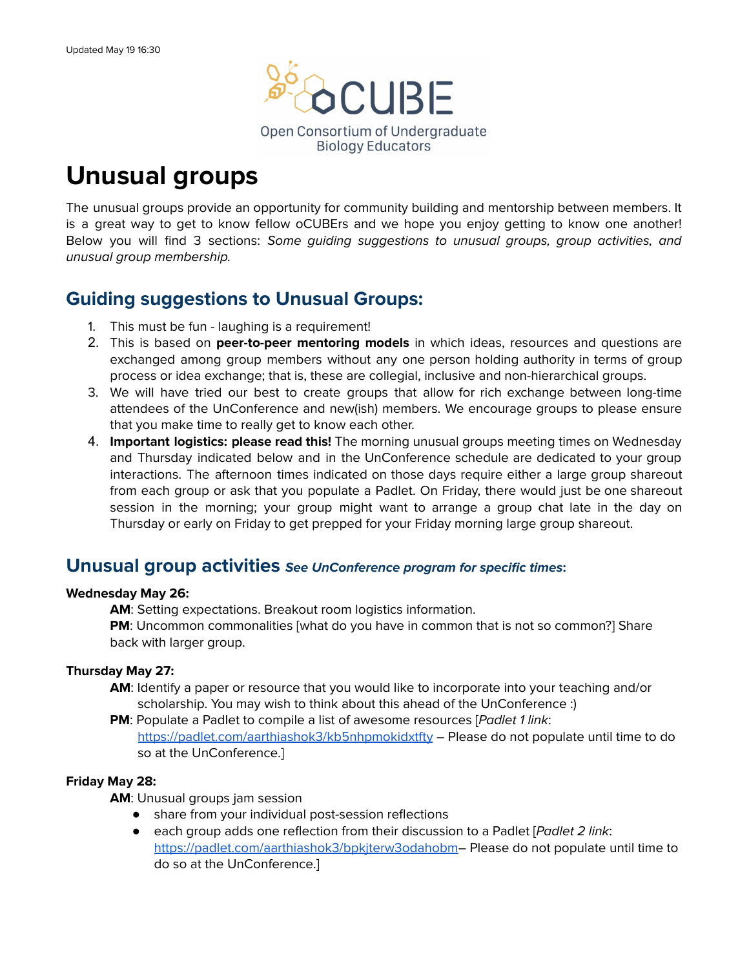

# **Unusual groups**

The unusual groups provide an opportunity for community building and mentorship between members. It is a great way to get to know fellow oCUBErs and we hope you enjoy getting to know one another! Below you will find 3 sections: Some guiding suggestions to unusual groups, group activities, and unusual group membership.

## **Guiding suggestions to Unusual Groups:**

- 1. This must be fun laughing is a requirement!
- 2. This is based on **peer-to-peer mentoring models** in which ideas, resources and questions are exchanged among group members without any one person holding authority in terms of group process or idea exchange; that is, these are collegial, inclusive and non-hierarchical groups.
- 3. We will have tried our best to create groups that allow for rich exchange between long-time attendees of the UnConference and new(ish) members. We encourage groups to please ensure that you make time to really get to know each other.
- 4. **Important logistics: please read this!** The morning unusual groups meeting times on Wednesday and Thursday indicated below and in the UnConference schedule are dedicated to your group interactions. The afternoon times indicated on those days require either a large group shareout from each group or ask that you populate a Padlet. On Friday, there would just be one shareout session in the morning; your group might want to arrange a group chat late in the day on Thursday or early on Friday to get prepped for your Friday morning large group shareout.

## **Unusual group activities See UnConference program for specific times:**

#### **Wednesday May 26:**

**AM**: Setting expectations. Breakout room logistics information.

**PM**: Uncommon commonalities [what do you have in common that is not so common?] Share back with larger group.

#### **Thursday May 27:**

- **AM**: Identify a paper or resource that you would like to incorporate into your teaching and/or scholarship. You may wish to think about this ahead of the UnConference :)
- **PM**: Populate a Padlet to compile a list of awesome resources [Padlet 1 link: <https://padlet.com/aarthiashok3/kb5nhpmokidxtfty> – Please do not populate until time to do so at the UnConference.]

#### **Friday May 28:**

**AM**: Unusual groups jam session

- share from your individual post-session reflections
- each group adds one reflection from their discussion to a Padlet [Padlet 2 link: [https://padlet.com/aarthiashok3/bpkjterw3odahobm–](https://padlet.com/aarthiashok3/bpkjterw3odahobm) Please do not populate until time to do so at the UnConference.]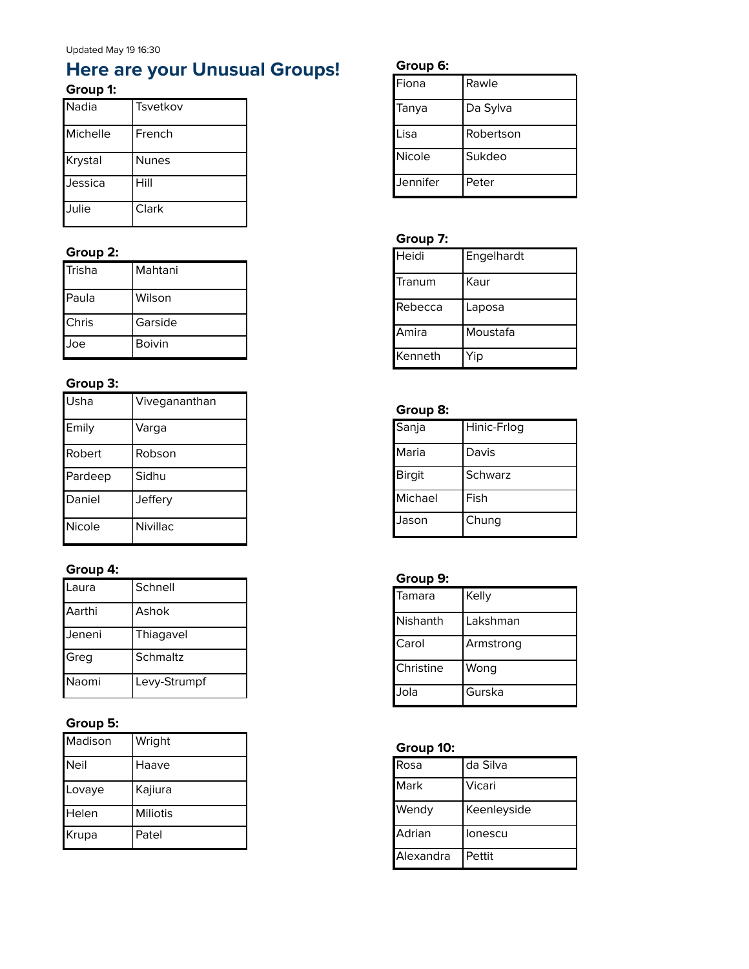## **Here are your Unusual Groups!**

## **Group 1:**

| Nadia    | Tsvetkov     |
|----------|--------------|
| Michelle | French       |
| Krystal  | <b>Nunes</b> |
| Jessica  | Hill         |
| Julie    | Clark        |

### **Group 2:**

| <b>Trisha</b> | Mahtani |
|---------------|---------|
| <b>P</b> aula | Wilson  |
| <b>Chris</b>  | Garside |
| Joe           | Boivin  |

### **Group 3:**

| Usha    | Vivegananthan |
|---------|---------------|
| Emily   | Varqa         |
| Robert  | Robson        |
| Pardeep | Sidhu         |
| Daniel  | Jeffery       |
| Nicole  | Nivillac      |

#### **Group 4:**

| Laura  | Schnell      |
|--------|--------------|
| Aarthi | Ashok        |
| Jeneni | Thiagavel    |
| Greg   | Schmaltz     |
| Naomi  | Levy-Strumpf |

## **Group 5:**

| <b>Madison</b> | Wright   |
|----------------|----------|
| <b>Neil</b>    | Haave    |
| Lovaye         | Kajiura  |
| Helen          | Miliotis |
| Krupa          | Patel    |

### **Group 6:**

| Fiona    | Rawle     |
|----------|-----------|
| Tanya    | Da Sylva  |
| Lisa     | Robertson |
| Nicole   | Sukdeo    |
| Jennifer | Peter     |

## **Group 7:**

| Heidi    | Engelhardt |
|----------|------------|
| Tranum   | Kaur       |
| Rebecca  | Laposa     |
| Amira    | Moustafa   |
| lKenneth | Yip        |

### **Group 8:**

| Sanja   | Hinic-Frlog |
|---------|-------------|
| Maria   | Davis       |
| Birgit  | Schwarz     |
| Michael | Fish        |
| Jason   | Chung       |

#### **Group 9:**

| Tamara    | Kelly     |
|-----------|-----------|
| Nishanth  | Lakshman  |
| Carol     | Armstrong |
| Christine | Wong      |
| Jola      | Gurska    |

#### **Group 10:**

| Rosa      | da Silva    |
|-----------|-------------|
| Mark      | Vicari      |
| Wendy     | Keenleyside |
| Adrian    | lonescu     |
| Alexandra | Pettit      |